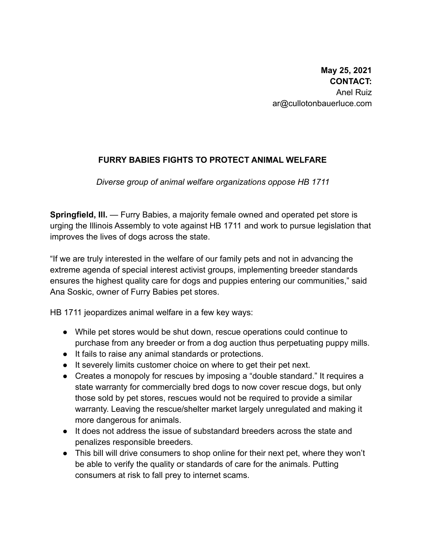## **FURRY BABIES FIGHTS TO PROTECT ANIMAL WELFARE**

*Diverse group of animal welfare organizations oppose HB 1711*

**Springfield, Ill.** — Furry Babies, a majority female owned and operated pet store is urging the Illinois Assembly to vote against HB 1711 and work to pursue legislation that improves the lives of dogs across the state.

"If we are truly interested in the welfare of our family pets and not in advancing the extreme agenda of special interest activist groups, implementing breeder standards ensures the highest quality care for dogs and puppies entering our communities," said Ana Soskic, owner of Furry Babies pet stores.

HB 1711 jeopardizes animal welfare in a few key ways:

- While pet stores would be shut down, rescue operations could continue to purchase from any breeder or from a dog auction thus perpetuating puppy mills.
- It fails to raise any animal standards or protections.
- It severely limits customer choice on where to get their pet next.
- Creates a monopoly for rescues by imposing a "double standard." It requires a state warranty for commercially bred dogs to now cover rescue dogs, but only those sold by pet stores, rescues would not be required to provide a similar warranty. Leaving the rescue/shelter market largely unregulated and making it more dangerous for animals.
- It does not address the issue of substandard breeders across the state and penalizes responsible breeders.
- This bill will drive consumers to shop online for their next pet, where they won't be able to verify the quality or standards of care for the animals. Putting consumers at risk to fall prey to internet scams.